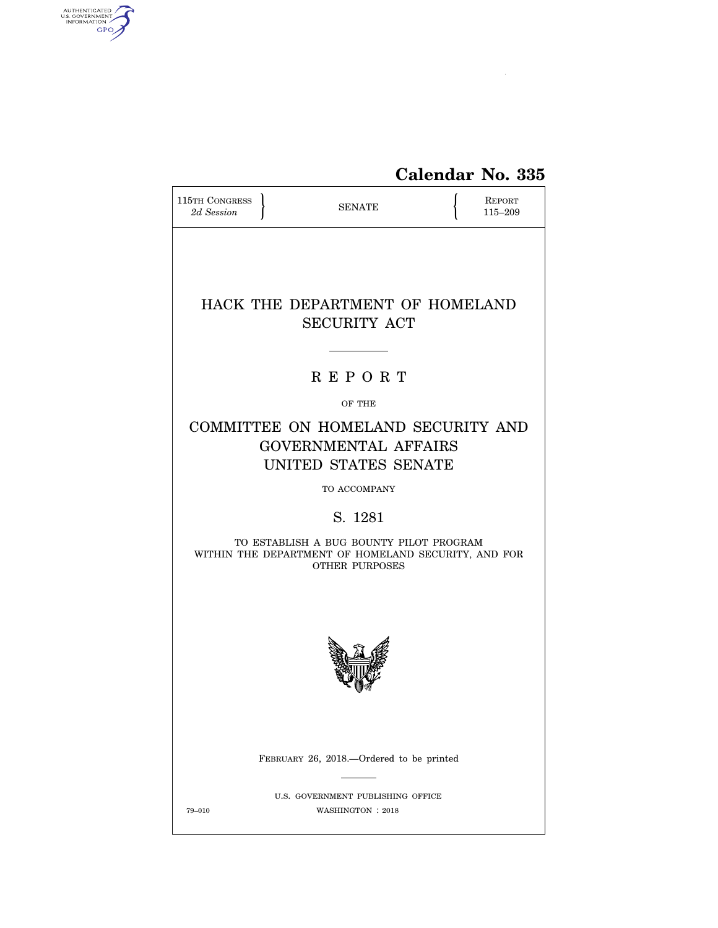

| <b>115TH CONGRESS</b><br>2d Session | <b>SENATE</b>                                                                                                           | <b>REPORT</b><br>115-209 |
|-------------------------------------|-------------------------------------------------------------------------------------------------------------------------|--------------------------|
|                                     | HACK THE DEPARTMENT OF HOMELAND<br><b>SECURITY ACT</b>                                                                  |                          |
|                                     | <b>REPORT</b>                                                                                                           |                          |
|                                     | OF THE                                                                                                                  |                          |
|                                     | COMMITTEE ON HOMELAND SECURITY AND<br><b>GOVERNMENTAL AFFAIRS</b><br>UNITED STATES SENATE                               |                          |
|                                     | <b>TO ACCOMPANY</b>                                                                                                     |                          |
|                                     | S. 1281                                                                                                                 |                          |
|                                     | TO ESTABLISH A BUG BOUNTY PILOT PROGRAM<br>WITHIN THE DEPARTMENT OF HOMELAND SECURITY, AND FOR<br><b>OTHER PURPOSES</b> |                          |
|                                     |                                                                                                                         |                          |
|                                     | FEBRUARY 26, 2018.—Ordered to be printed                                                                                |                          |
| 79-010                              | U.S. GOVERNMENT PUBLISHING OFFICE<br>WASHINGTON : 2018                                                                  |                          |

AUTHENTICATED

 $\widehat{\mathbf{f}}$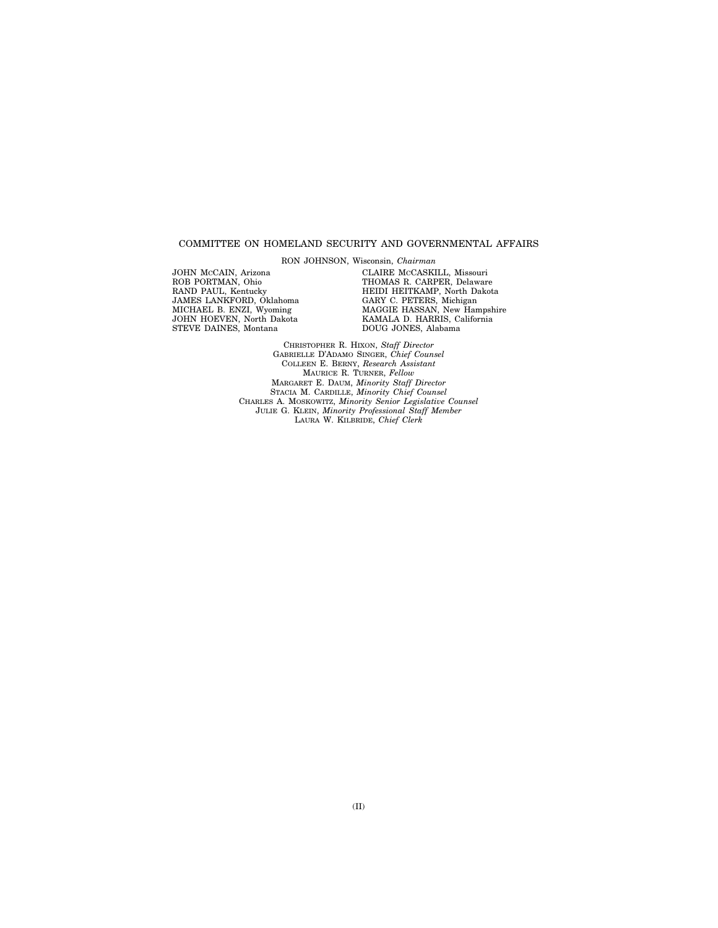## COMMITTEE ON HOMELAND SECURITY AND GOVERNMENTAL AFFAIRS

RON JOHNSON, Wisconsin, *Chairman* 

JOHN MCCAIN, Arizona ROB PORTMAN, Ohio RAND PAUL, Kentucky JAMES LANKFORD, Oklahoma MICHAEL B. ENZI, Wyoming JOHN HOEVEN, North Dakota STEVE DAINES, Montana

CLAIRE MCCASKILL, Missouri THOMAS R. CARPER, Delaware HEIDI HEITKAMP, North Dakota GARY C. PETERS, Michigan MAGGIE HASSAN, New Hampshire KAMALA D. HARRIS, California DOUG JONES, Alabama

CHRISTOPHER R. HIXON, *Staff Director*  GABRIELLE D'ADAMO SINGER, *Chief Counsel*  COLLEEN E. BERNY, *Research Assistant*  MAURICE R. TURNER, *Fellow*  MARGARET E. DAUM, *Minority Staff Director*  STACIA M. CARDILLE, *Minority Chief Counsel*  CHARLES A. MOSKOWITZ, *Minority Senior Legislative Counsel*  JULIE G. KLEIN, *Minority Professional Staff Member*  LAURA W. KILBRIDE, *Chief Clerk*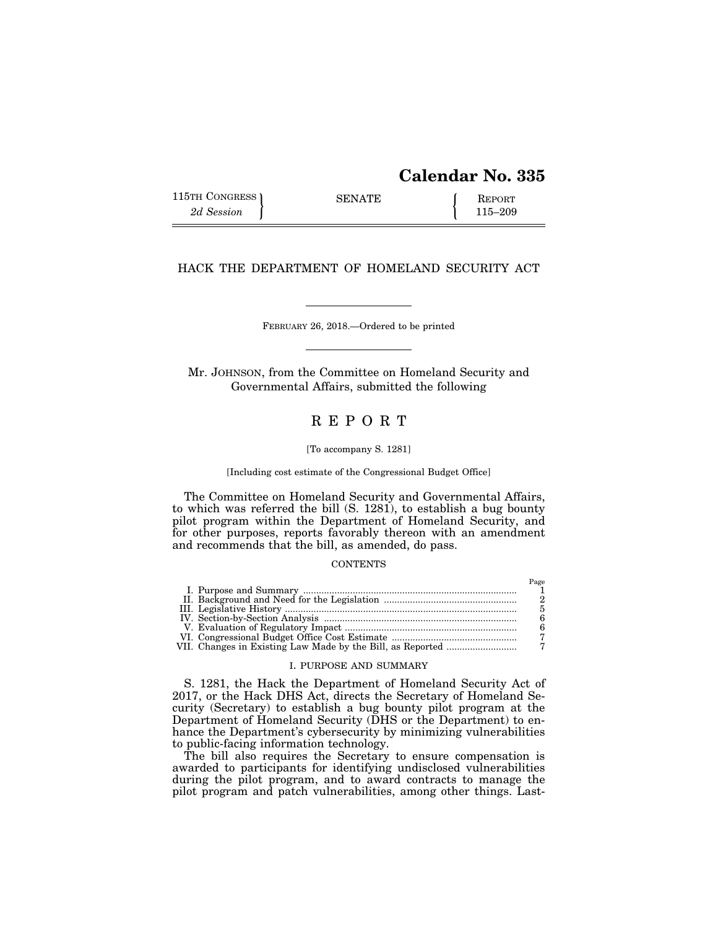# **Calendar No. 335**

| 115TH CONGRESS ) | <b>SENATE</b> | <b>REPORT</b> |
|------------------|---------------|---------------|
| 2d Session       |               | $115 - 209$   |

HACK THE DEPARTMENT OF HOMELAND SECURITY ACT

FEBRUARY 26, 2018.—Ordered to be printed

Mr. JOHNSON, from the Committee on Homeland Security and Governmental Affairs, submitted the following

## R E P O R T

#### [To accompany S. 1281]

[Including cost estimate of the Congressional Budget Office]

The Committee on Homeland Security and Governmental Affairs, to which was referred the bill (S. 1281), to establish a bug bounty pilot program within the Department of Homeland Security, and for other purposes, reports favorably thereon with an amendment and recommends that the bill, as amended, do pass.

## **CONTENTS**

## I. PURPOSE AND SUMMARY

S. 1281, the Hack the Department of Homeland Security Act of 2017, or the Hack DHS Act, directs the Secretary of Homeland Security (Secretary) to establish a bug bounty pilot program at the Department of Homeland Security (DHS or the Department) to enhance the Department's cybersecurity by minimizing vulnerabilities to public-facing information technology.

The bill also requires the Secretary to ensure compensation is awarded to participants for identifying undisclosed vulnerabilities during the pilot program, and to award contracts to manage the pilot program and patch vulnerabilities, among other things. Last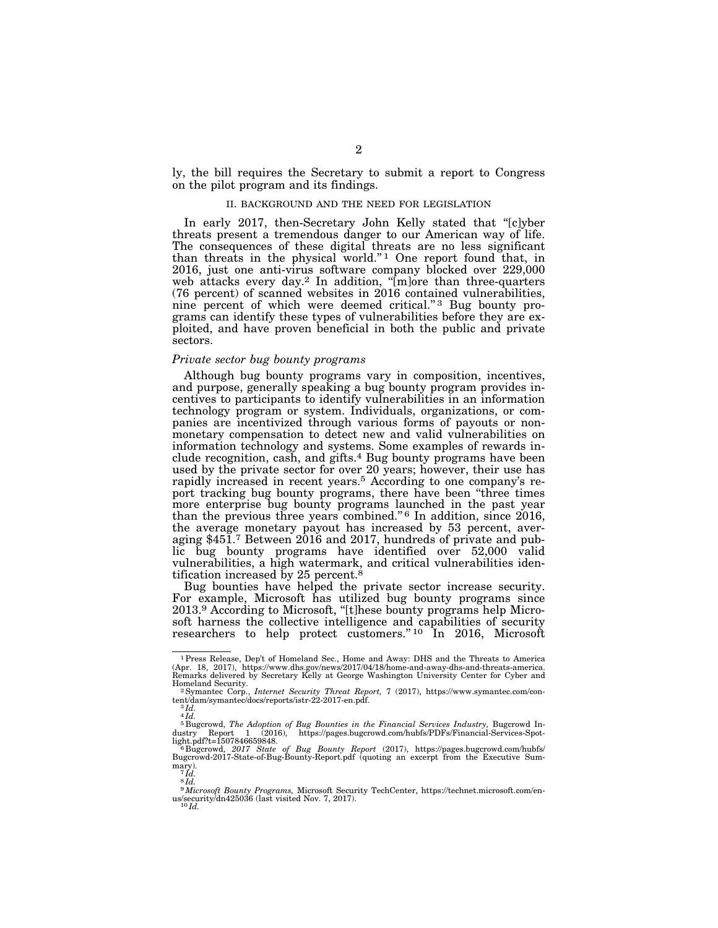ly, the bill requires the Secretary to submit a report to Congress on the pilot program and its findings.

#### II. BACKGROUND AND THE NEED FOR LEGISLATION

In early 2017, then-Secretary John Kelly stated that ''[c]yber threats present a tremendous danger to our American way of life. The consequences of these digital threats are no less significant than threats in the physical world."<sup>1</sup> One report found that, in 2016, just one anti-virus software company blocked over 229,000 web attacks every day.<sup>2</sup> In addition, "[m]ore than three-quarters (76 percent) of scanned websites in 2016 contained vulnerabilities, nine percent of which were deemed critical."<sup>3</sup> Bug bounty programs can identify these types of vulnerabilities before they are exploited, and have proven beneficial in both the public and private sectors.

## *Private sector bug bounty programs*

Although bug bounty programs vary in composition, incentives, and purpose, generally speaking a bug bounty program provides incentives to participants to identify vulnerabilities in an information technology program or system. Individuals, organizations, or companies are incentivized through various forms of payouts or nonmonetary compensation to detect new and valid vulnerabilities on information technology and systems. Some examples of rewards include recognition, cash, and gifts.4 Bug bounty programs have been used by the private sector for over 20 years; however, their use has rapidly increased in recent years.5 According to one company's report tracking bug bounty programs, there have been ''three times more enterprise bug bounty programs launched in the past year than the previous three years combined."<sup>6</sup> In addition, since 2016, the average monetary payout has increased by 53 percent, averaging \$451.7 Between 2016 and 2017, hundreds of private and public bug bounty programs have identified over 52,000 valid vulnerabilities, a high watermark, and critical vulnerabilities identification increased by 25 percent.<sup>8</sup>

Bug bounties have helped the private sector increase security. For example, Microsoft has utilized bug bounty programs since 2013.9 According to Microsoft, ''[t]hese bounty programs help Microsoft harness the collective intelligence and capabilities of security researchers to help protect customers."<sup>10</sup> In 2016, Microsoft

<sup>1</sup>Press Release, Dep't of Homeland Sec., Home and Away: DHS and the Threats to America (Apr. 18, 2017), https://www.dhs.gov/news/2017/04/18/home-and-away-dhs-and-threats-america. Remarks delivered by Secretary Kelly at George Washington University Center for Cyber and Homeland Security. 2Symantec Corp., *Internet Security Threat Report,* 7 (2017), https://www.symantec.com/con-

tent/dam/symantec/docs/reports/istr-22-2017-en.pdf. 3 *Id.* 

 $\overline{\overset{\circ}{\mathcal{A}}}$   $\overline{\overset{\circ}{\mathcal{A}}}$   $\overline{\overset{\circ}{\mathcal{A}}}$ 

<sup>&</sup>lt;sup>5</sup> Bugcrowd, *The Adoption of Bug Bounties in the Financial Services Industry, Bugcrowd Industry Report 1 (2016), https://pages.bugcrowd.com/hubfs/PDFs/Financial-Services-Spot-*

light.pdf?t=1507846659848.<br><sup>6</sup> Bugcrowd, *2017 State of Bug Bounty Report (*2017), https://pages.bugcrowd.com/hubfs/<br>Bugcrowd-2017-State-of-Bug-Bounty-Report.pdf (quoting an excerpt from the Executive Sum- $\frac{\text{mary}}{7}$ *Id.* 

<sup>8</sup> *Id.* 

<sup>9</sup>*Microsoft Bounty Programs,* Microsoft Security TechCenter, https://technet.microsoft.com/en-us/security/dn425036 (last visited Nov. 7, 2017). 10 *Id.*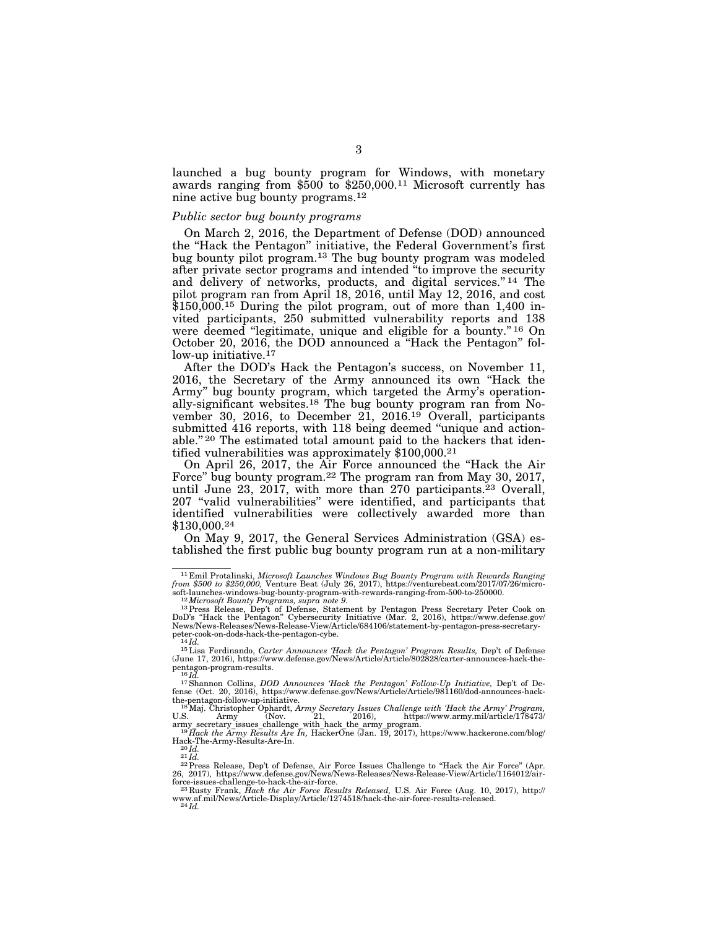launched a bug bounty program for Windows, with monetary awards ranging from \$500 to \$250,000.11 Microsoft currently has nine active bug bounty programs.12

#### *Public sector bug bounty programs*

On March 2, 2016, the Department of Defense (DOD) announced the ''Hack the Pentagon'' initiative, the Federal Government's first bug bounty pilot program.13 The bug bounty program was modeled after private sector programs and intended ''to improve the security and delivery of networks, products, and digital services."<sup>14</sup> The pilot program ran from April 18, 2016, until May 12, 2016, and cost  $$150,000$ <sup>15</sup> During the pilot program, out of more than 1,400 invited participants, 250 submitted vulnerability reports and 138 were deemed "legitimate, unique and eligible for a bounty."<sup>16</sup> On October 20, 2016, the DOD announced a ''Hack the Pentagon'' follow-up initiative.<sup>17</sup>

After the DOD's Hack the Pentagon's success, on November 11, 2016, the Secretary of the Army announced its own ''Hack the Army'' bug bounty program, which targeted the Army's operationally-significant websites.18 The bug bounty program ran from November 30, 2016, to December 21, 2016.<sup>19</sup> Overall, participants submitted 416 reports, with 118 being deemed "unique and actionable."<sup>20</sup> The estimated total amount paid to the hackers that identified vulnerabilities was approximately \$100,000.21

On April 26, 2017, the Air Force announced the ''Hack the Air Force'' bug bounty program.22 The program ran from May 30, 2017, until June 23,  $2017$ , with more than 270 participants.<sup>23</sup> Overall, 207 ''valid vulnerabilities'' were identified, and participants that identified vulnerabilities were collectively awarded more than \$130,000.24

On May 9, 2017, the General Services Administration (GSA) established the first public bug bounty program run at a non-military

<sup>11</sup> Emil Protalinski, *Microsoft Launches Windows Bug Bounty Program with Rewards Ranging from \$500 to \$250,000,* Venture Beat (July 26, 2017), https://venturebeat.com/2017/07/26/micro-

soft-launches-windows-bug-bounty-program-with-rewards-ranging-from-500-to-250000.<br><sup>12</sup> Microsoft Bounty Programs, supra note 9.<br><sup>13</sup> Press Release, Dep't of Defense, Statement by Pentagon Press Secretary Peter Cook on<br>DoD'

peter-cook-on-dods-hack-the-pentagon-cybe.<br><sup>14</sup>Id.<br><sup>15</sup>Lisa Ferdinando, *Carter Announces 'Hack the Pentagon' Program Results*, Dep't of Defense<br>(June 17, 2016), https://www.defense.gov/News/Article/Article/802828/carter-a pentagon-program-results.<br><sup>16</sup>*Id.* <sup>17</sup>Shannon Collins, *DOD Announces 'Hack the Pentagon' Follow-Up Initiative*, Dep't of De-

fense (Oct. 20, 2016), https://www.defense.gov/News/Article/Article/981160/dod-announces-hack-<br>the-pentagon-follow-up-initiative.<br>- <sup>18</sup>Maj. Christopher Ophardt, *Army Secretary Issues Challenge with 'Hack the Army' Progra* 

U.S. Army (Nov. 21, 2016), https://www.army.mil/article/178473/<br>army\_secretary\_issues\_challenge\_with\_hack\_the\_army\_program.<br><sup>19</sup> Hack the Army Results Are In, HackerOne (Jan. 19, 2017), https://www.hackerone.com/blog/

Hack-The-Army-Results-Are-In.<br>
<sup>201</sup>*d.*<br>
<sup>22</sup> Press Release, Dep't of Defense, Air Force Issues Challenge to "Hack the Air Force" (Apr.<br>
<sup>22</sup> Press Release, Dep't of Defense, Air Force Issues Challenge to "Hack the Air F

www.af.mil/News/Article-Display/Article/1274518/hack-the-air-force-results-released. 24 *Id.*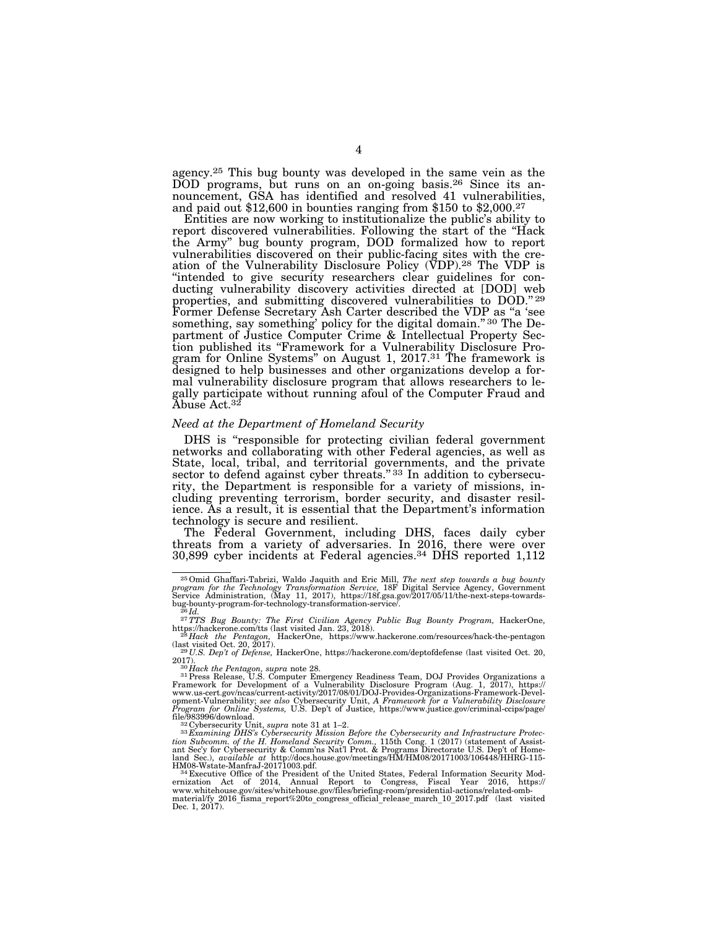agency.25 This bug bounty was developed in the same vein as the DOD programs, but runs on an on-going basis.<sup>26</sup> Since its announcement, GSA has identified and resolved 41 vulnerabilities, and paid out \$12,600 in bounties ranging from \$150 to \$2,000.27

Entities are now working to institutionalize the public's ability to report discovered vulnerabilities. Following the start of the ''Hack the Army'' bug bounty program, DOD formalized how to report vulnerabilities discovered on their public-facing sites with the creation of the Vulnerability Disclosure Policy (VDP).28 The VDP is "intended to give security researchers clear guidelines for conducting vulnerability discovery activities directed at [DOD] web properties, and submitting discovered vulnerabilities to DOD.'' 29 Former Defense Secretary Ash Carter described the VDP as "a 'see something, say something' policy for the digital domain." 30 The Department of Justice Computer Crime & Intellectual Property Section published its ''Framework for a Vulnerability Disclosure Program for Online Systems'' on August 1, 2017.31 The framework is designed to help businesses and other organizations develop a formal vulnerability disclosure program that allows researchers to legally participate without running afoul of the Computer Fraud and Abuse Act.<sup>32</sup>

## *Need at the Department of Homeland Security*

DHS is "responsible for protecting civilian federal government networks and collaborating with other Federal agencies, as well as State, local, tribal, and territorial governments, and the private sector to defend against cyber threats."<sup>33</sup> In addition to cybersecurity, the Department is responsible for a variety of missions, including preventing terrorism, border security, and disaster resilience. As a result, it is essential that the Department's information technology is secure and resilient.

The Federal Government, including DHS, faces daily cyber threats from a variety of adversaries. In 2016, there were over 30,899 cyber incidents at Federal agencies.34 DHS reported 1,112

<sup>&</sup>lt;sup>25</sup> Omid Ghaffari-Tabrizi, Waldo Jaquith and Eric Mill, *The next step towards a bug bounty* program for the Technology Transformation Service, 18F Digital Service Agency, Government Service Administration, (May 11, 2017

bug-bounty-program-for-technology-transformation-service/. 26 *Id.* 27*TTS Bug Bounty: The First Civilian Agency Public Bug Bounty Program,* HackerOne, https://hackerone.com/tts (last visited Jan. 23, 2018). 28 *Hack the Pentagon,* HackerOne, https://www.hackerone.com/resources/hack-the-pentagon

<sup>(</sup>last visited Oct. 20, 2017). 29 *U.S. Dep't of Defense,* HackerOne, https://hackerone.com/deptofdefense (last visited Oct. 20,

<sup>2017).&</sup>lt;br><sup>30</sup> *Hack the Pentagon, supra* note 28.<br><sup>31</sup> Press Release, U.S. Computer Emergency Readiness Team, DOJ Provides Organizations a Framework for Development of a Vulnerability Disclosure Program (Aug. 1, 2017), https://<br>www.us-cert.gov/ncas/current-activity/2017/08/01/DOJ-Provides-Organizations-Framework-Devel-<br>opment-Vulnerability: see also Cybersecu

file/983996/download.<br>
<sup>322</sup>Cybersecurity Unit, *supra* note 31 at 1–2.<br>
<sup>32</sup>Cybersecurity Unit, *supra note 31 at 1–2.*<br>
<sup>32</sup>Examining DHS's Cybersecurity Mission Before the Cybersecurity and Infrastructure Protec-<br>
tion

HM08-Wstate-ManfraJ-20171003.pdf. 34 Executive Office of the President of the United States, Federal Information Security Mod-ernization Act of 2014, Annual Report to Congress, Fiscal Year 2016, https:// www.whitehouse.gov/sites/whitehouse.gov/files/briefing-room/presidential-actions/related-omb-material/fy\_2016\_fisma\_report%20to\_congress\_official\_release\_march\_10\_2017.pdf (last visited Dec. 1, 2017).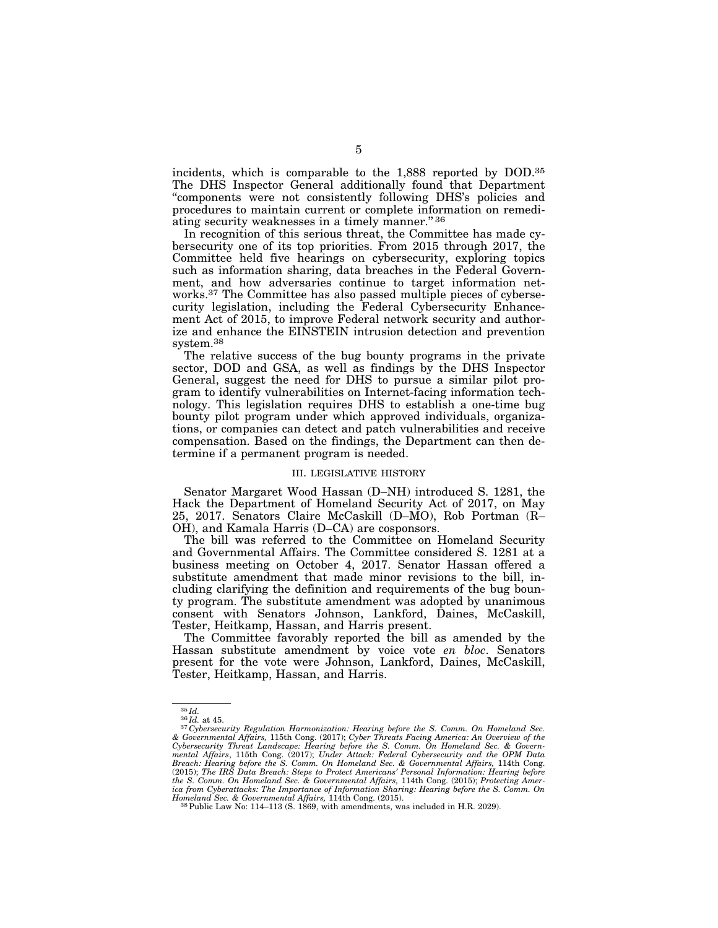incidents, which is comparable to the 1,888 reported by DOD.35 The DHS Inspector General additionally found that Department ''components were not consistently following DHS's policies and procedures to maintain current or complete information on remediating security weaknesses in a timely manner." 36

In recognition of this serious threat, the Committee has made cybersecurity one of its top priorities. From 2015 through 2017, the Committee held five hearings on cybersecurity, exploring topics such as information sharing, data breaches in the Federal Government, and how adversaries continue to target information networks.37 The Committee has also passed multiple pieces of cybersecurity legislation, including the Federal Cybersecurity Enhancement Act of 2015, to improve Federal network security and authorize and enhance the EINSTEIN intrusion detection and prevention system.38

The relative success of the bug bounty programs in the private sector, DOD and GSA, as well as findings by the DHS Inspector General, suggest the need for DHS to pursue a similar pilot program to identify vulnerabilities on Internet-facing information technology. This legislation requires DHS to establish a one-time bug bounty pilot program under which approved individuals, organizations, or companies can detect and patch vulnerabilities and receive compensation. Based on the findings, the Department can then determine if a permanent program is needed.

#### III. LEGISLATIVE HISTORY

Senator Margaret Wood Hassan (D–NH) introduced S. 1281, the Hack the Department of Homeland Security Act of 2017, on May 25, 2017. Senators Claire McCaskill (D–MO), Rob Portman (R– OH), and Kamala Harris (D–CA) are cosponsors.

The bill was referred to the Committee on Homeland Security and Governmental Affairs. The Committee considered S. 1281 at a business meeting on October 4, 2017. Senator Hassan offered a substitute amendment that made minor revisions to the bill, including clarifying the definition and requirements of the bug bounty program. The substitute amendment was adopted by unanimous consent with Senators Johnson, Lankford, Daines, McCaskill, Tester, Heitkamp, Hassan, and Harris present.

The Committee favorably reported the bill as amended by the Hassan substitute amendment by voice vote *en bloc*. Senators present for the vote were Johnson, Lankford, Daines, McCaskill, Tester, Heitkamp, Hassan, and Harris.

<sup>35</sup> *Id.* <sup>36</sup> *Id.* at 45. 37 *Cybersecurity Regulation Harmonization: Hearing before the S. Comm. On Homeland Sec. & Governmental Affairs,* 115th Cong. (2017); *Cyber Threats Facing America: An Overview of the Cybersecurity Threat Landscape: Hearing before the S. Comm. On Homeland Sec. & Govern*mental Affairs, 115th Cong. (2017); Under Attack: Federal Cybersecurity and the OPM Data<br>Breach: Hearing before the S. Comm. On Homeland Sec. & Governmental Affairs, 114th Cong.<br>(2015); The IRS Data Breach: Steps to Protec *the S. Comm. On Homeland Sec. & Governmental Affairs,* 114th Cong. (2015); *Protecting Amer-ica from Cyberattacks: The Importance of Information Sharing: Hearing before the S. Comm. On Homeland Sec. & Governmental Affairs,* 114th Cong. (2015). 38Public Law No: 114–113 (S. 1869, with amendments, was included in H.R. 2029).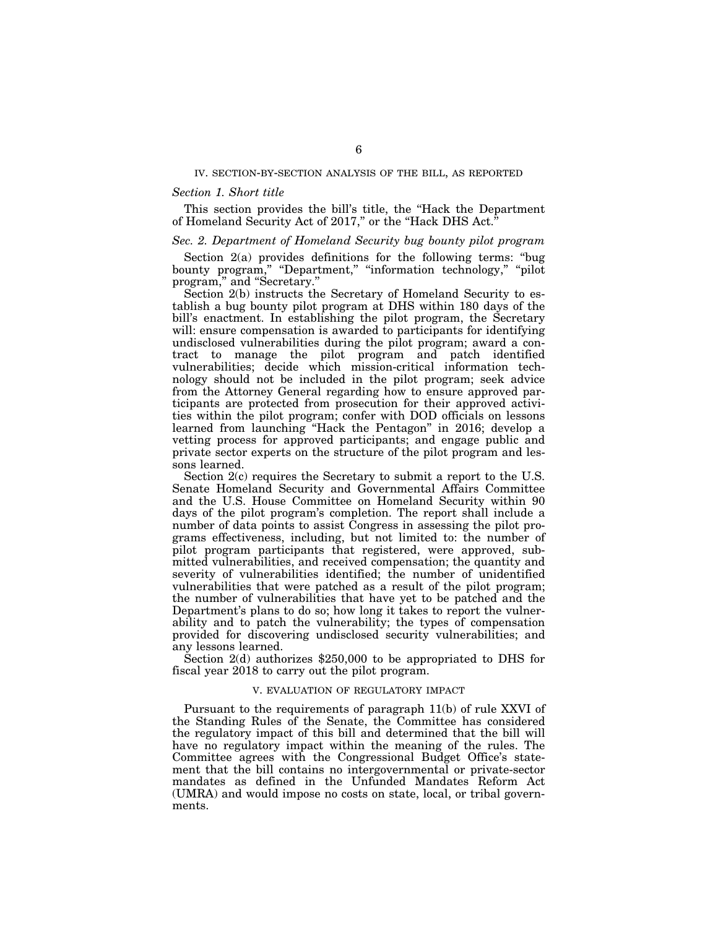## IV. SECTION-BY-SECTION ANALYSIS OF THE BILL, AS REPORTED

## *Section 1. Short title*

This section provides the bill's title, the ''Hack the Department of Homeland Security Act of 2017," or the "Hack DHS Act."

#### *Sec. 2. Department of Homeland Security bug bounty pilot program*

Section 2(a) provides definitions for the following terms: ''bug bounty program," "Department," "information technology," "pilot program," and "Secretary."

Section 2(b) instructs the Secretary of Homeland Security to establish a bug bounty pilot program at DHS within 180 days of the bill's enactment. In establishing the pilot program, the Secretary will: ensure compensation is awarded to participants for identifying undisclosed vulnerabilities during the pilot program; award a contract to manage the pilot program and patch identified vulnerabilities; decide which mission-critical information technology should not be included in the pilot program; seek advice from the Attorney General regarding how to ensure approved participants are protected from prosecution for their approved activities within the pilot program; confer with DOD officials on lessons learned from launching ''Hack the Pentagon'' in 2016; develop a vetting process for approved participants; and engage public and private sector experts on the structure of the pilot program and lessons learned.

Section 2(c) requires the Secretary to submit a report to the U.S. Senate Homeland Security and Governmental Affairs Committee and the U.S. House Committee on Homeland Security within 90 days of the pilot program's completion. The report shall include a number of data points to assist Congress in assessing the pilot programs effectiveness, including, but not limited to: the number of pilot program participants that registered, were approved, submitted vulnerabilities, and received compensation; the quantity and severity of vulnerabilities identified; the number of unidentified vulnerabilities that were patched as a result of the pilot program; the number of vulnerabilities that have yet to be patched and the Department's plans to do so; how long it takes to report the vulnerability and to patch the vulnerability; the types of compensation provided for discovering undisclosed security vulnerabilities; and any lessons learned.

Section 2(d) authorizes \$250,000 to be appropriated to DHS for fiscal year 2018 to carry out the pilot program.

## V. EVALUATION OF REGULATORY IMPACT

Pursuant to the requirements of paragraph 11(b) of rule XXVI of the Standing Rules of the Senate, the Committee has considered the regulatory impact of this bill and determined that the bill will have no regulatory impact within the meaning of the rules. The Committee agrees with the Congressional Budget Office's statement that the bill contains no intergovernmental or private-sector mandates as defined in the Unfunded Mandates Reform Act (UMRA) and would impose no costs on state, local, or tribal governments.